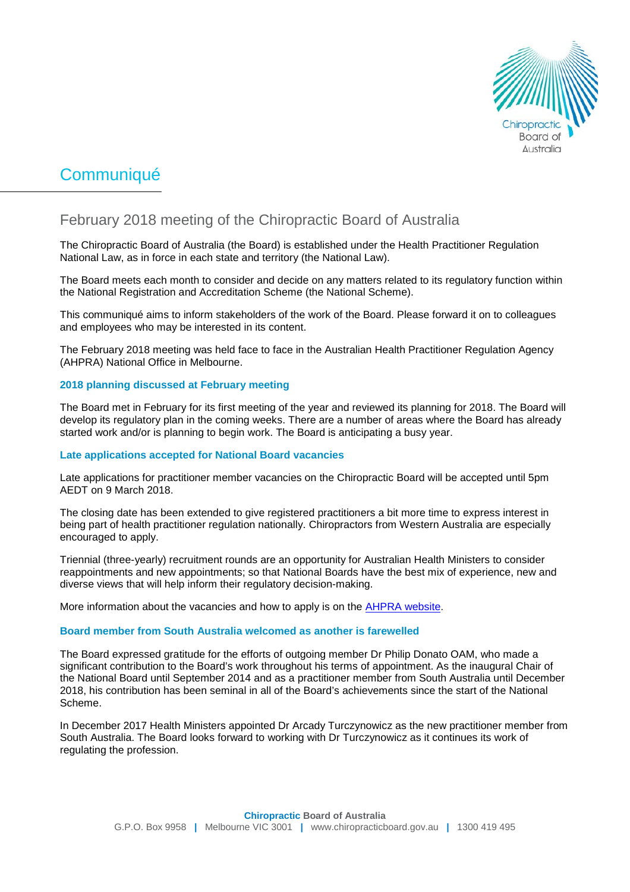

# **Communiqué**

## February 2018 meeting of the Chiropractic Board of Australia

The Chiropractic Board of Australia (the Board) is established under the Health Practitioner Regulation National Law, as in force in each state and territory (the National Law).

The Board meets each month to consider and decide on any matters related to its regulatory function within the National Registration and Accreditation Scheme (the National Scheme).

This communiqué aims to inform stakeholders of the work of the Board. Please forward it on to colleagues and employees who may be interested in its content.

The February 2018 meeting was held face to face in the Australian Health Practitioner Regulation Agency (AHPRA) National Office in Melbourne.

## **2018 planning discussed at February meeting**

The Board met in February for its first meeting of the year and reviewed its planning for 2018. The Board will develop its regulatory plan in the coming weeks. There are a number of areas where the Board has already started work and/or is planning to begin work. The Board is anticipating a busy year.

## **Late applications accepted for National Board vacancies**

Late applications for practitioner member vacancies on the Chiropractic Board will be accepted until 5pm AEDT on 9 March 2018.

The closing date has been extended to give registered practitioners a bit more time to express interest in being part of health practitioner regulation nationally. Chiropractors from Western Australia are especially encouraged to apply.

Triennial (three-yearly) recruitment rounds are an opportunity for Australian Health Ministers to consider reappointments and new appointments; so that National Boards have the best mix of experience, new and diverse views that will help inform their regulatory decision-making.

More information about the vacancies and how to apply is on the [AHPRA website.](http://www.ahpra.gov.au/National-Boards/Statutory-Appointments/Board-member-recruitment.aspx)

## **Board member from South Australia welcomed as another is farewelled**

The Board expressed gratitude for the efforts of outgoing member Dr Philip Donato OAM, who made a significant contribution to the Board's work throughout his terms of appointment. As the inaugural Chair of the National Board until September 2014 and as a practitioner member from South Australia until December 2018, his contribution has been seminal in all of the Board's achievements since the start of the National Scheme.

In December 2017 Health Ministers appointed Dr Arcady Turczynowicz as the new practitioner member from South Australia. The Board looks forward to working with Dr Turczynowicz as it continues its work of regulating the profession.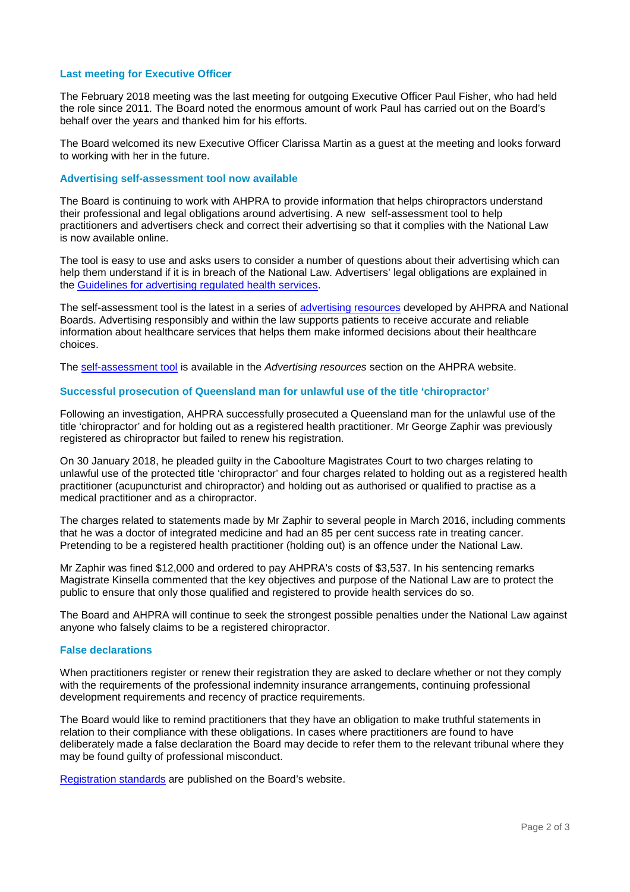## **Last meeting for Executive Officer**

The February 2018 meeting was the last meeting for outgoing Executive Officer Paul Fisher, who had held the role since 2011. The Board noted the enormous amount of work Paul has carried out on the Board's behalf over the years and thanked him for his efforts.

The Board welcomed its new Executive Officer Clarissa Martin as a guest at the meeting and looks forward to working with her in the future.

## **Advertising self-assessment tool now available**

The Board is continuing to work with AHPRA to provide information that helps chiropractors understand their professional and legal obligations around advertising. A new self-assessment tool to help practitioners and advertisers check and correct their advertising so that it complies with the National Law is now available online.

The tool is easy to use and asks users to consider a number of questions about their advertising which can help them understand if it is in breach of the National Law. Advertisers' legal obligations are explained in the [Guidelines for advertising regulated health services.](http://www.ahpra.gov.au/Publications/Advertising-resources/Legislation-guidelines/Advertising-guidelines.aspx)

The self-assessment tool is the latest in a series of [advertising resources](http://www.ahpra.gov.au/Publications/Advertising-resources.aspx) developed by AHPRA and National Boards. Advertising responsibly and within the law supports patients to receive accurate and reliable information about healthcare services that helps them make informed decisions about their healthcare choices.

The [self-assessment tool](http://www.ahpra.gov.au/Publications/Advertising-resources/Check-and-correct/Self-assessment-tool.aspx) is available in the *Advertising resources* section on the AHPRA website.

#### **Successful prosecution of Queensland man for unlawful use of the title 'chiropractor'**

Following an investigation, AHPRA successfully prosecuted a Queensland man for the unlawful use of the title 'chiropractor' and for holding out as a registered health practitioner. Mr George Zaphir was previously registered as chiropractor but failed to renew his registration.

On 30 January 2018, he pleaded guilty in the Caboolture Magistrates Court to two charges relating to unlawful use of the protected title 'chiropractor' and four charges related to holding out as a registered health practitioner (acupuncturist and chiropractor) and holding out as authorised or qualified to practise as a medical practitioner and as a chiropractor.

The charges related to statements made by Mr Zaphir to several people in March 2016, including comments that he was a doctor of integrated medicine and had an 85 per cent success rate in treating cancer. Pretending to be a registered health practitioner (holding out) is an offence under the National Law.

Mr Zaphir was fined \$12,000 and ordered to pay AHPRA's costs of \$3,537. In his sentencing remarks Magistrate Kinsella commented that the key objectives and purpose of the National Law are to protect the public to ensure that only those qualified and registered to provide health services do so.

The Board and AHPRA will continue to seek the strongest possible penalties under the National Law against anyone who falsely claims to be a registered chiropractor.

#### **False declarations**

When practitioners register or renew their registration they are asked to declare whether or not they comply with the requirements of the professional indemnity insurance arrangements, continuing professional development requirements and recency of practice requirements.

The Board would like to remind practitioners that they have an obligation to make truthful statements in relation to their compliance with these obligations. In cases where practitioners are found to have deliberately made a false declaration the Board may decide to refer them to the relevant tribunal where they may be found guilty of professional misconduct.

[Registration standards](http://www.chiropracticboard.gov.au/Registration-standards.aspx) are published on the Board's website.